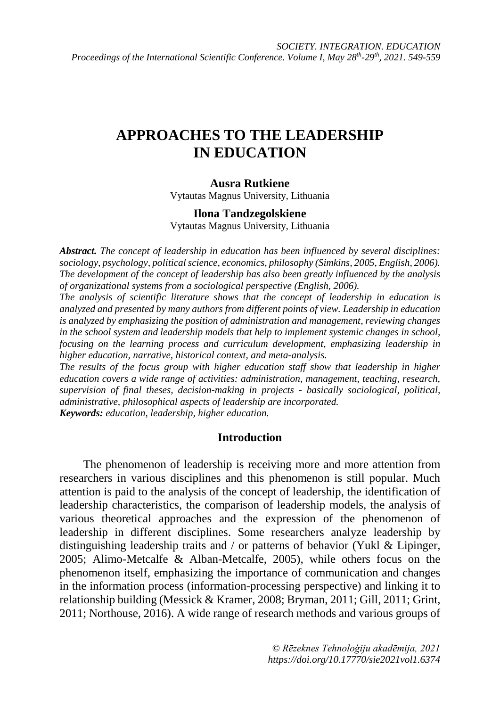# **APPROACHES TO THE LEADERSHIP IN EDUCATION**

#### **Ausra Rutkiene**

Vytautas Magnus University, Lithuania

#### **Ilona Tandzegolskiene**

Vytautas Magnus University, Lithuania

*Abstract. The concept of leadership in education has been influenced by several disciplines: sociology, psychology, political science, economics, philosophy (Simkins, 2005, English, 2006). The development of the concept of leadership has also been greatly influenced by the analysis of organizational systems from a sociological perspective (English, 2006).*

*The analysis of scientific literature shows that the concept of leadership in education is analyzed and presented by many authors from different points of view. Leadership in education is analyzed by emphasizing the position of administration and management, reviewing changes in the school system and leadership models that help to implement systemic changes in school, focusing on the learning process and curriculum development, emphasizing leadership in higher education, narrative, historical context, and meta-analysis.*

*The results of the focus group with higher education staff show that leadership in higher education covers a wide range of activities: administration, management, teaching, research, supervision of final theses, decision-making in projects - basically sociological, political, administrative, philosophical aspects of leadership are incorporated. Keywords: education, leadership, higher education.*

#### **Introduction**

The phenomenon of leadership is receiving more and more attention from researchers in various disciplines and this phenomenon is still popular. Much attention is paid to the analysis of the concept of leadership, the identification of leadership characteristics, the comparison of leadership models, the analysis of various theoretical approaches and the expression of the phenomenon of leadership in different disciplines. Some researchers analyze leadership by distinguishing leadership traits and / or patterns of behavior (Yukl & Lipinger, 2005; Alimo-Metcalfe & Alban-Metcalfe, 2005), while others focus on the phenomenon itself, emphasizing the importance of communication and changes in the information process (information-processing perspective) and linking it to relationship building (Messick & Kramer, 2008; Bryman, 2011; Gill, 2011; Grint, 2011; Northouse, 2016). A wide range of research methods and various groups of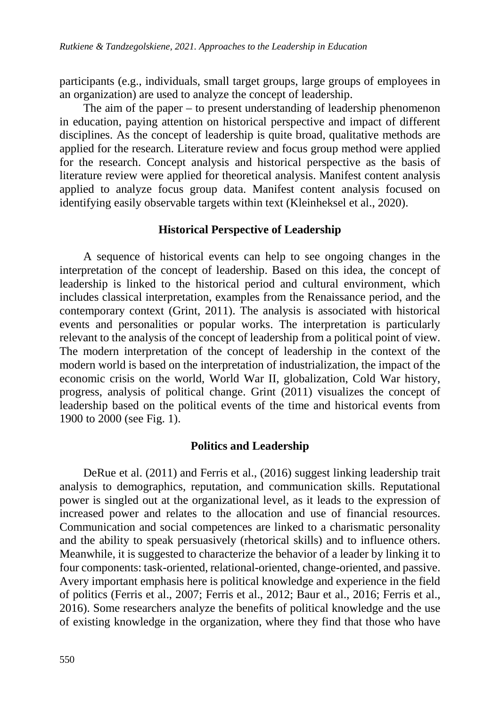participants (e.g., individuals, small target groups, large groups of employees in an organization) are used to analyze the concept of leadership.

The aim of the paper – to present understanding of leadership phenomenon in education, paying attention on historical perspective and impact of different disciplines. As the concept of leadership is quite broad, qualitative methods are applied for the research. Literature review and focus group method were applied for the research. Concept analysis and historical perspective as the basis of literature review were applied for theoretical analysis. Manifest content analysis applied to analyze focus group data. Manifest content analysis focused on identifying easily observable targets within text (Kleinheksel et al., 2020).

### **Historical Perspective of Leadership**

A sequence of historical events can help to see ongoing changes in the interpretation of the concept of leadership. Based on this idea, the concept of leadership is linked to the historical period and cultural environment, which includes classical interpretation, examples from the Renaissance period, and the contemporary context (Grint, 2011). The analysis is associated with historical events and personalities or popular works. The interpretation is particularly relevant to the analysis of the concept of leadership from a political point of view. The modern interpretation of the concept of leadership in the context of the modern world is based on the interpretation of industrialization, the impact of the economic crisis on the world, World War II, globalization, Cold War history, progress, analysis of political change. Grint (2011) visualizes the concept of leadership based on the political events of the time and historical events from 1900 to 2000 (see Fig. 1).

### **Politics and Leadership**

DeRue et al. (2011) and Ferris et al., (2016) suggest linking leadership trait analysis to demographics, reputation, and communication skills. Reputational power is singled out at the organizational level, as it leads to the expression of increased power and relates to the allocation and use of financial resources. Communication and social competences are linked to a charismatic personality and the ability to speak persuasively (rhetorical skills) and to influence others. Meanwhile, it is suggested to characterize the behavior of a leader by linking it to four components: task-oriented, relational-oriented, change-oriented, and passive. Avery important emphasis here is political knowledge and experience in the field of politics (Ferris et al., 2007; Ferris et al., 2012; Baur et al., 2016; Ferris et al., 2016). Some researchers analyze the benefits of political knowledge and the use of existing knowledge in the organization, where they find that those who have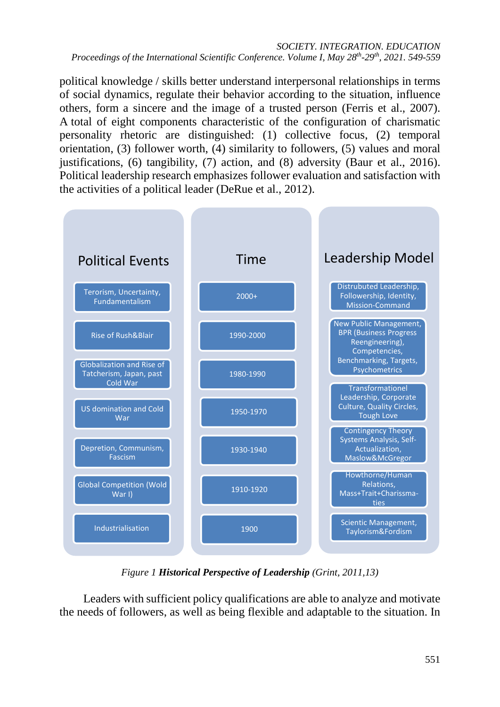#### *SOCIETY. INTEGRATION. EDUCATION Proceedings of the International Scientific Conference. Volume I, May 28th-29th, 2021. 549-559*

political knowledge / skills better understand interpersonal relationships in terms of social dynamics, regulate their behavior according to the situation, influence others, form a sincere and the image of a trusted person (Ferris et al., 2007). A total of eight components characteristic of the configuration of charismatic personality rhetoric are distinguished: (1) collective focus, (2) temporal orientation, (3) follower worth, (4) similarity to followers, (5) values and moral justifications, (6) tangibility, (7) action, and (8) adversity (Baur et al., 2016). Political leadership research emphasizes follower evaluation and satisfaction with the activities of a political leader (DeRue et al., 2012).



*Figure 1 Historical Perspective of Leadership (Grint, 2011,13)*

Leaders with sufficient policy qualifications are able to analyze and motivate the needs of followers, as well as being flexible and adaptable to the situation. In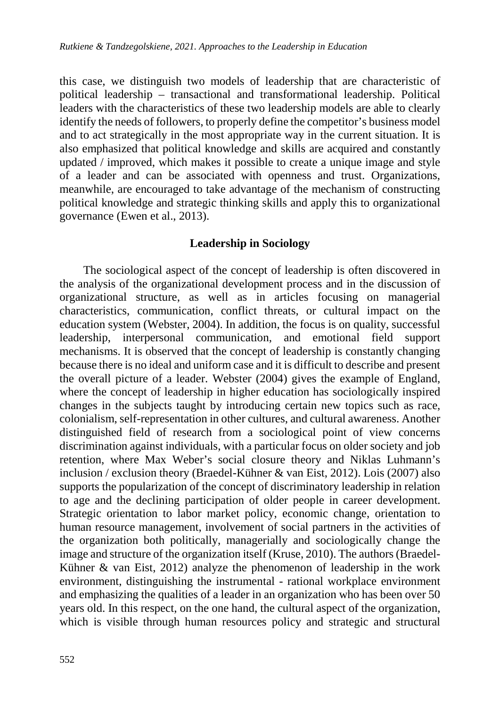this case, we distinguish two models of leadership that are characteristic of political leadership – transactional and transformational leadership. Political leaders with the characteristics of these two leadership models are able to clearly identify the needs of followers, to properly define the competitor's business model and to act strategically in the most appropriate way in the current situation. It is also emphasized that political knowledge and skills are acquired and constantly updated / improved, which makes it possible to create a unique image and style of a leader and can be associated with openness and trust. Organizations, meanwhile, are encouraged to take advantage of the mechanism of constructing political knowledge and strategic thinking skills and apply this to organizational governance (Ewen et al., 2013).

### **Leadership in Sociology**

The sociological aspect of the concept of leadership is often discovered in the analysis of the organizational development process and in the discussion of organizational structure, as well as in articles focusing on managerial characteristics, communication, conflict threats, or cultural impact on the education system (Webster, 2004). In addition, the focus is on quality, successful leadership, interpersonal communication, and emotional field support mechanisms. It is observed that the concept of leadership is constantly changing because there is no ideal and uniform case and it is difficult to describe and present the overall picture of a leader. Webster (2004) gives the example of England, where the concept of leadership in higher education has sociologically inspired changes in the subjects taught by introducing certain new topics such as race, colonialism, self-representation in other cultures, and cultural awareness. Another distinguished field of research from a sociological point of view concerns discrimination against individuals, with a particular focus on older society and job retention, where Max Weber's social closure theory and Niklas Luhmann's inclusion / exclusion theory (Braedel-Kühner & van Eist, 2012). Lois (2007) also supports the popularization of the concept of discriminatory leadership in relation to age and the declining participation of older people in career development. Strategic orientation to labor market policy, economic change, orientation to human resource management, involvement of social partners in the activities of the organization both politically, managerially and sociologically change the image and structure of the organization itself (Kruse, 2010). The authors (Braedel-Kühner & van Eist, 2012) analyze the phenomenon of leadership in the work environment, distinguishing the instrumental - rational workplace environment and emphasizing the qualities of a leader in an organization who has been over 50 years old. In this respect, on the one hand, the cultural aspect of the organization, which is visible through human resources policy and strategic and structural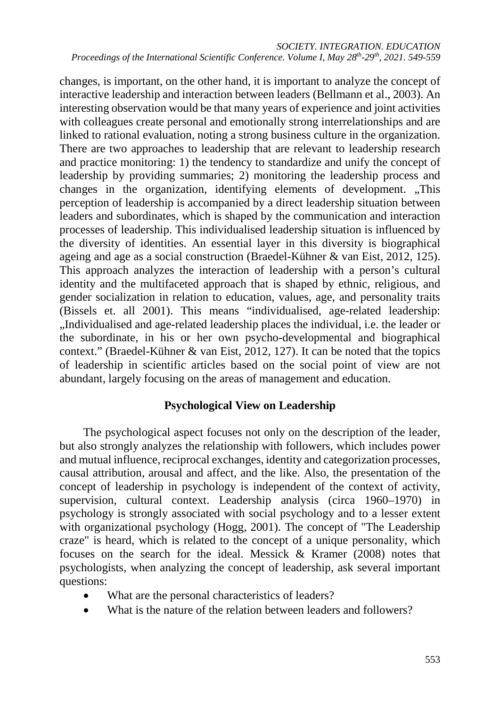*SOCIETY. INTEGRATION. EDUCATION Proceedings of the International Scientific Conference. Volume I, May 28th-29th, 2021. 549-559*

changes, is important, on the other hand, it is important to analyze the concept of interactive leadership and interaction between leaders (Bellmann et al., 2003). An interesting observation would be that many years of experience and joint activities with colleagues create personal and emotionally strong interrelationships and are linked to rational evaluation, noting a strong business culture in the organization. There are two approaches to leadership that are relevant to leadership research and practice monitoring: 1) the tendency to standardize and unify the concept of leadership by providing summaries; 2) monitoring the leadership process and changes in the organization, identifying elements of development. "This perception of leadership is accompanied by a direct leadership situation between leaders and subordinates, which is shaped by the communication and interaction processes of leadership. This individualised leadership situation is influenced by the diversity of identities. An essential layer in this diversity is biographical ageing and age as a social construction (Braedel-Kühner & van Eist, 2012, 125). This approach analyzes the interaction of leadership with a person's cultural identity and the multifaceted approach that is shaped by ethnic, religious, and gender socialization in relation to education, values, age, and personality traits (Bissels et. all 2001). This means "individualised, age-related leadership: "Individualised and age-related leadership places the individual, i.e. the leader or the subordinate, in his or her own psycho-developmental and biographical context." (Braedel-Kühner & van Eist, 2012, 127). It can be noted that the topics of leadership in scientific articles based on the social point of view are not abundant, largely focusing on the areas of management and education.

### **Psychological View on Leadership**

The psychological aspect focuses not only on the description of the leader, but also strongly analyzes the relationship with followers, which includes power and mutual influence, reciprocal exchanges, identity and categorization processes, causal attribution, arousal and affect, and the like. Also, the presentation of the concept of leadership in psychology is independent of the context of activity, supervision, cultural context. Leadership analysis (circa 1960–1970) in psychology is strongly associated with social psychology and to a lesser extent with organizational psychology (Hogg, 2001). The concept of "The Leadership craze" is heard, which is related to the concept of a unique personality, which focuses on the search for the ideal. Messick & Kramer (2008) notes that psychologists, when analyzing the concept of leadership, ask several important questions:

- What are the personal characteristics of leaders?
- What is the nature of the relation between leaders and followers?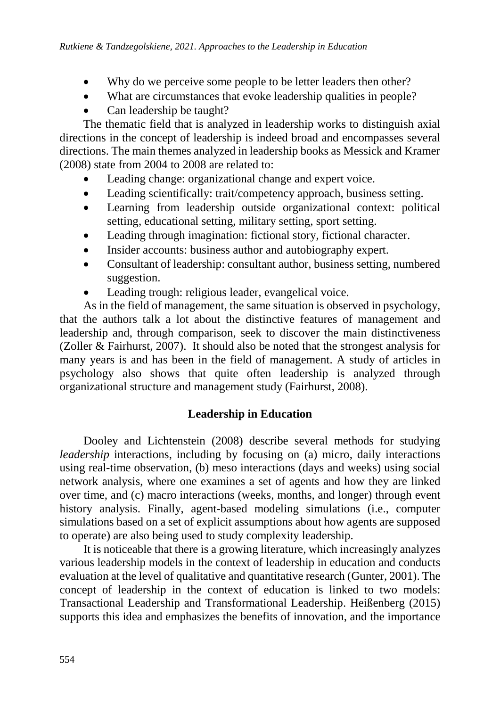- Why do we perceive some people to be letter leaders then other?
- What are circumstances that evoke leadership qualities in people?
- Can leadership be taught?

The thematic field that is analyzed in leadership works to distinguish axial directions in the concept of leadership is indeed broad and encompasses several directions. The main themes analyzed in leadership books as Messick and Kramer (2008) state from 2004 to 2008 are related to:

- Leading change: organizational change and expert voice.
- Leading scientifically: trait/competency approach, business setting.
- Learning from leadership outside organizational context: political setting, educational setting, military setting, sport setting.
- Leading through imagination: fictional story, fictional character.
- Insider accounts: business author and autobiography expert.
- Consultant of leadership: consultant author, business setting, numbered suggestion.
- Leading trough: religious leader, evangelical voice.

As in the field of management, the same situation is observed in psychology, that the authors talk a lot about the distinctive features of management and leadership and, through comparison, seek to discover the main distinctiveness (Zoller & Fairhurst, 2007). It should also be noted that the strongest analysis for many years is and has been in the field of management. A study of articles in psychology also shows that quite often leadership is analyzed through organizational structure and management study (Fairhurst, 2008).

## **Leadership in Education**

Dooley and Lichtenstein (2008) describe several methods for studying *leadership* interactions, including by focusing on (a) micro, daily interactions using real-time observation, (b) meso interactions (days and weeks) using social network analysis, where one examines a set of agents and how they are linked over time, and (c) macro interactions (weeks, months, and longer) through event history analysis. Finally, agent-based modeling simulations (i.e., computer simulations based on a set of explicit assumptions about how agents are supposed to operate) are also being used to study complexity leadership.

It is noticeable that there is a growing literature, which increasingly analyzes various leadership models in the context of leadership in education and conducts evaluation at the level of qualitative and quantitative research (Gunter, 2001). The concept of leadership in the context of education is linked to two models: Transactional Leadership and Transformational Leadership. Heißenberg (2015) supports this idea and emphasizes the benefits of innovation, and the importance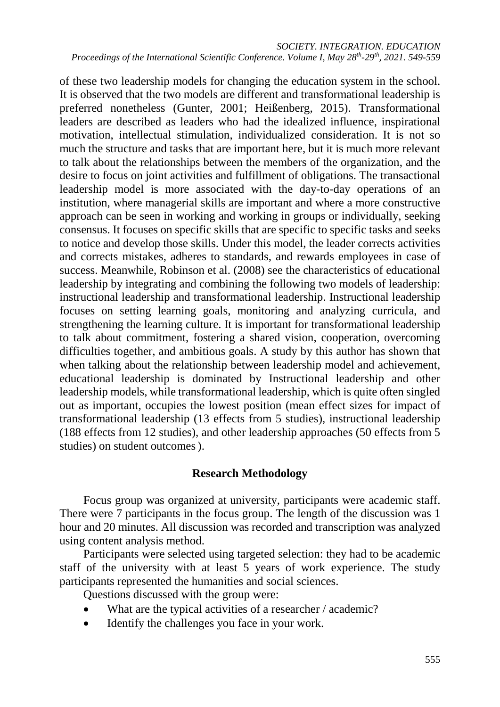*SOCIETY. INTEGRATION. EDUCATION Proceedings of the International Scientific Conference. Volume I, May 28th-29th, 2021. 549-559*

of these two leadership models for changing the education system in the school. It is observed that the two models are different and transformational leadership is preferred nonetheless (Gunter, 2001; Heißenberg, 2015). Transformational leaders are described as leaders who had the idealized influence, inspirational motivation, intellectual stimulation, individualized consideration. It is not so much the structure and tasks that are important here, but it is much more relevant to talk about the relationships between the members of the organization, and the desire to focus on joint activities and fulfillment of obligations. The transactional leadership model is more associated with the day-to-day operations of an institution, where managerial skills are important and where a more constructive approach can be seen in working and working in groups or individually, seeking consensus. It focuses on specific skills that are specific to specific tasks and seeks to notice and develop those skills. Under this model, the leader corrects activities and corrects mistakes, adheres to standards, and rewards employees in case of success. Meanwhile, Robinson et al. (2008) see the characteristics of educational leadership by integrating and combining the following two models of leadership: instructional leadership and transformational leadership. Instructional leadership focuses on setting learning goals, monitoring and analyzing curricula, and strengthening the learning culture. It is important for transformational leadership to talk about commitment, fostering a shared vision, cooperation, overcoming difficulties together, and ambitious goals. A study by this author has shown that when talking about the relationship between leadership model and achievement, educational leadership is dominated by Instructional leadership and other leadership models, while transformational leadership, which is quite often singled out as important, occupies the lowest position (mean effect sizes for impact of transformational leadership (13 effects from 5 studies), instructional leadership (188 effects from 12 studies), and other leadership approaches (50 effects from 5 studies) on student outcomes).

### **Research Methodology**

Focus group was organized at university, participants were academic staff. There were 7 participants in the focus group. The length of the discussion was 1 hour and 20 minutes. All discussion was recorded and transcription was analyzed using content analysis method.

Participants were selected using targeted selection: they had to be academic staff of the university with at least 5 years of work experience. The study participants represented the humanities and social sciences.

Questions discussed with the group were:

- What are the typical activities of a researcher / academic?
- Identify the challenges you face in your work.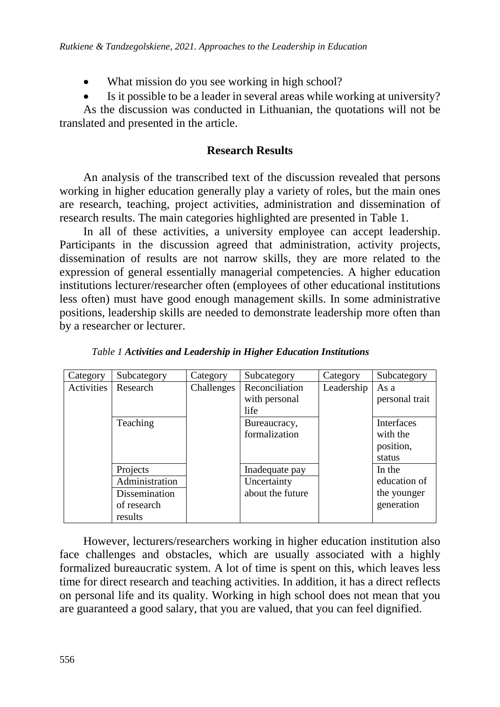- What mission do you see working in high school?
- Is it possible to be a leader in several areas while working at university?

As the discussion was conducted in Lithuanian, the quotations will not be translated and presented in the article.

### **Research Results**

An analysis of the transcribed text of the discussion revealed that persons working in higher education generally play a variety of roles, but the main ones are research, teaching, project activities, administration and dissemination of research results. The main categories highlighted are presented in Table 1.

In all of these activities, a university employee can accept leadership. Participants in the discussion agreed that administration, activity projects, dissemination of results are not narrow skills, they are more related to the expression of general essentially managerial competencies. A higher education institutions lecturer/researcher often (employees of other educational institutions less often) must have good enough management skills. In some administrative positions, leadership skills are needed to demonstrate leadership more often than by a researcher or lecturer.

| Category   | Subcategory    | Category   | Subcategory      | Category   | Subcategory    |
|------------|----------------|------------|------------------|------------|----------------|
| Activities | Research       | Challenges | Reconciliation   | Leadership | As a           |
|            |                |            | with personal    |            | personal trait |
|            |                |            | life             |            |                |
|            | Teaching       |            | Bureaucracy,     |            | Interfaces     |
|            |                |            | formalization    |            | with the       |
|            |                |            |                  |            | position,      |
|            |                |            |                  |            | status         |
|            | Projects       |            | Inadequate pay   |            | In the         |
|            | Administration |            | Uncertainty      |            | education of   |
|            | Dissemination  |            | about the future |            | the younger    |
|            | of research    |            |                  |            | generation     |
|            | results        |            |                  |            |                |

*Table 1 Activities and Leadership in Higher Education Institutions*

However, lecturers/researchers working in higher education institution also face challenges and obstacles, which are usually associated with a highly formalized bureaucratic system. A lot of time is spent on this, which leaves less time for direct research and teaching activities. In addition, it has a direct reflects on personal life and its quality. Working in high school does not mean that you are guaranteed a good salary, that you are valued, that you can feel dignified.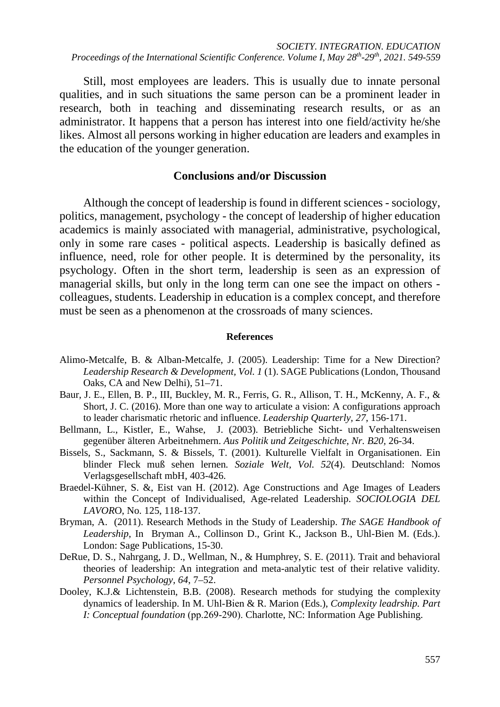Still, most employees are leaders. This is usually due to innate personal qualities, and in such situations the same person can be a prominent leader in research, both in teaching and disseminating research results, or as an administrator. It happens that a person has interest into one field/activity he/she likes. Almost all persons working in higher education are leaders and examples in the education of the younger generation.

#### **Conclusions and/or Discussion**

Although the concept of leadership is found in different sciences - sociology, politics, management, psychology - the concept of leadership of higher education academics is mainly associated with managerial, administrative, psychological, only in some rare cases - political aspects. Leadership is basically defined as influence, need, role for other people. It is determined by the personality, its psychology. Often in the short term, leadership is seen as an expression of managerial skills, but only in the long term can one see the impact on others colleagues, students. Leadership in education is a complex concept, and therefore must be seen as a phenomenon at the crossroads of many sciences.

#### **References**

- Alimo-Metcalfe, B. & Alban-Metcalfe, J. (2005). Leadership: Time for a New Direction? *Leadership Research & Development, Vol. 1* (1). SAGE Publications (London, Thousand Oaks, CA and New Delhi), 51–71.
- Baur, J. E., Ellen, B. P., III, Buckley, M. R., Ferris, G. R., Allison, T. H., McKenny, A. F., & Short, J. C. (2016). More than one way to articulate a vision: A configurations approach to leader charismatic rhetoric and influence. *Leadership Quarterly, 27*, 156-171.
- Bellmann, L., Kistler, E., Wahse, J. (2003). Betriebliche Sicht- und Verhaltensweisen gegenüber älteren Arbeitnehmern. *Aus Politik und Zeitgeschichte*, *Nr. B20,* 26-34.
- Bissels, S., Sackmann, S. & Bissels, T. (2001). Kulturelle Vielfalt in Organisationen. Ein blinder Fleck muß sehen lernen*. Soziale Welt, Vol. 52*(4). Deutschland: Nomos Verlagsgesellschaft mbH, 403-426.
- Braedel-Kühner, S. &, Eist van H. (2012). Age Constructions and Age Images of Leaders within the Concept of Individualised, Age-related Leadership. *SOCIOLOGIA DEL LAVOR*O, No. 125, 118-137.
- Bryman, A. (2011). Research Methods in the Study of Leadership. *The SAGE Handbook of Leadership*, In Bryman A., Collinson D., Grint K., Jackson B., Uhl-Bien M. (Eds.). London: Sage Publications, 15-30.
- DeRue, D. S., Nahrgang, J. D., Wellman, N., & Humphrey, S. E. (2011). Trait and behavioral theories of leadership: An integration and meta-analytic test of their relative validity*. Personnel Psychology, 64*, 7–52.
- Dooley, K.J.& Lichtenstein, B.B. (2008). Research methods for studying the complexity dynamics of leadership. In M. Uhl‐Bien & R. Marion (Eds.), *Complexity leadrship. Part I: Conceptual foundation* (pp.269‐290). Charlotte, NC: Information Age Publishing.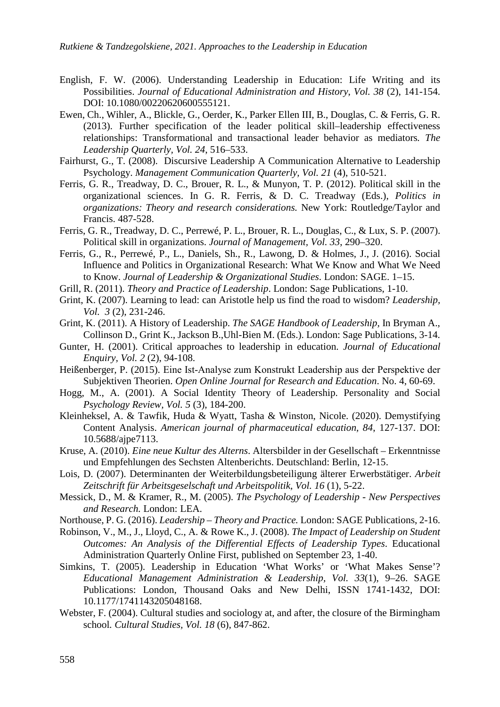- English, F. W. (2006). Understanding Leadership in Education: Life Writing and its Possibilities. *Journal of Educational Administration and History*, *Vol. 38* (2), 141-154. DOI: 10.1080/00220620600555121.
- Ewen, Ch., Wihler, A., Blickle, G., Oerder, K., Parker Ellen III, B., Douglas, C. & Ferris, G. R. (2013). Further specification of the leader political skill–leadership effectiveness relationships: Transformational and transactional leader behavior as mediators*. The Leadership Quarterly, Vol. 24*, 516–533.
- Fairhurst, G., T. (2008). Discursive Leadership A Communication Alternative to Leadership Psychology. *Management Communication Quarterly, Vol. 21* (4), 510-521.
- Ferris, G. R., Treadway, D. C., Brouer, R. L., & Munyon, T. P. (2012). Political skill in the organizational sciences. In G. R. Ferris, & D. C. Treadway (Eds.), *Politics in organizations: Theory and research considerations.* New York: Routledge/Taylor and Francis. 487-528.
- Ferris, G. R., Treadway, D. C., Perrewé, P. L., Brouer, R. L., Douglas, C., & Lux, S. P. (2007). Political skill in organizations. *Journal of Management, Vol. 33*, 290–320.
- Ferris, G., R., Perrewé, P., L., Daniels, Sh., R., Lawong, D. & Holmes, J., J. (2016). Social Influence and Politics in Organizational Research: What We Know and What We Need to Know. *Journal of Leadership & Organizational Studies*. London: SAGE. 1–15.
- Grill, R. (2011). *Theory and Practice of Leadership*. London: Sage Publications, 1-10.
- Grint, K. (2007). Learning to lead: can Aristotle help us find the road to wisdom? *Leadership, Vol. 3* (2), 231-246.
- Grint, K. (2011). A History of Leadership. *The SAGE Handbook of Leadership,* In Bryman A., Collinson D., Grint K., Jackson B.,Uhl-Bien M. (Eds.). London: Sage Publications, 3-14.
- Gunter, H. (2001). Critical approaches to leadership in education. *Journal of Educational Enquiry, Vol. 2* (2), 94-108.
- Heißenberger, P. (2015). Eine Ist-Analyse zum Konstrukt Leadership aus der Perspektive der Subjektiven Theorien. *Open Online Journal for Research and Education*. No. 4, 60-69.
- Hogg, M., A. (2001). A Social Identity Theory of Leadership. Personality and Social *Psychology Review, Vol. 5* (3), 184-200.
- Kleinheksel, A. & Tawfik, Huda & Wyatt, Tasha & Winston, Nicole. (2020). Demystifying Content Analysis. *American journal of pharmaceutical education, 84*, 127-137. DOI: 10.5688/ajpe7113.
- Kruse, A. (2010). *Eine neue Kultur des Alterns*. Altersbilder in der Gesellschaft Erkenntnisse und Empfehlungen des Sechsten Altenberichts. Deutschland: Berlin, 12-15.
- Lois, D. (2007). Determinanten der Weiterbildungsbeteiligung älterer Erwerbstätiger. *Arbeit Zeitschrift für Arbeitsgeselschaft und Arbeitspolitik, Vol. 16* (1), 5-22.
- Messick, D., M. & Kramer, R., M. (2005). *The Psychology of Leadership - New Perspectives and Research.* London: LEA.
- Northouse, P. G. (2016). *Leadership – Theory and Practice.* London: SAGE Publications, 2-16.
- Robinson, V., M., J., Lloyd, C., A. & Rowe K., J. (2008). *The Impact of Leadership on Student Outcomes: An Analysis of the Differential Effects of Leadership Types*. Educational Administration Quarterly Online First, published on September 23, 1-40.
- Simkins, T. (2005). Leadership in Education 'What Works' or 'What Makes Sense'? *Educational Management Administration & Leadership, Vol. 33*(1), 9–26. SAGE Publications: London, Thousand Oaks and New Delhi, ISSN 1741-1432, DOI: 10.1177/1741143205048168.
- Webster, F. (2004). Cultural studies and sociology at, and after, the closure of the Birmingham school*. Cultural Studies, Vol. 18* (6), 847-862.